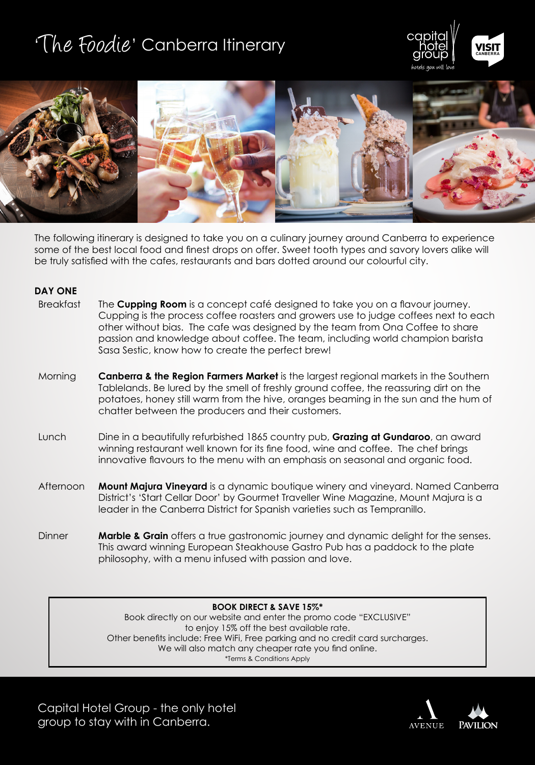# 'The Foodie' Canberra Itinerary





The following itinerary is designed to take you on a culinary journey around Canberra to experience some of the best local food and finest drops on offer. Sweet tooth types and savory lovers alike will be truly satisfied with the cafes, restaurants and bars dotted around our colourful city.

### **DAY ONE**

| Breakfast | The <b>Cupping Room</b> is a concept café designed to take you on a flavour journey. |
|-----------|--------------------------------------------------------------------------------------|
|           | Cupping is the process coffee roasters and growers use to judge coffees next to each |
|           | other without bias. The cafe was designed by the team from Ona Coffee to share       |
|           | passion and knowledge about coffee. The team, including world champion barista       |
|           | Sasa Sestic, know how to create the perfect brew!                                    |

- Morning **Canberra & the Region Farmers Market** is the largest regional markets in the Southern Tablelands. Be lured by the smell of freshly ground coffee, the reassuring dirt on the potatoes, honey still warm from the hive, oranges beaming in the sun and the hum of chatter between the producers and their customers.
- Lunch Dine in a beautifully refurbished 1865 country pub, **Grazing at Gundaroo**, an award winning restaurant well known for its fine food, wine and coffee. The chef brings innovative flavours to the menu with an emphasis on seasonal and organic food.
- Afternoon **Mount Majura Vineyard** is a dynamic boutique winery and vineyard. Named Canberra District's 'Start Cellar Door' by Gourmet Traveller Wine Magazine, Mount Majura is a leader in the Canberra District for Spanish varieties such as Tempranillo.
- Dinner **Marble & Grain** offers a true gastronomic journey and dynamic delight for the senses. This award winning European Steakhouse Gastro Pub has a paddock to the plate philosophy, with a menu infused with passion and love.

#### **BOOK DIRECT & SAVE 15%\***

Book directly on our website and enter the promo code "EXCLUSIVE" to enjoy 15% off the best available rate. Other benefits include: Free WiFi, Free parking and no credit card surcharges. We will also match any cheaper rate you find online. \*Terms & Conditions Apply

Capital Hotel Group - the only hotel group to stay with in Canberra.